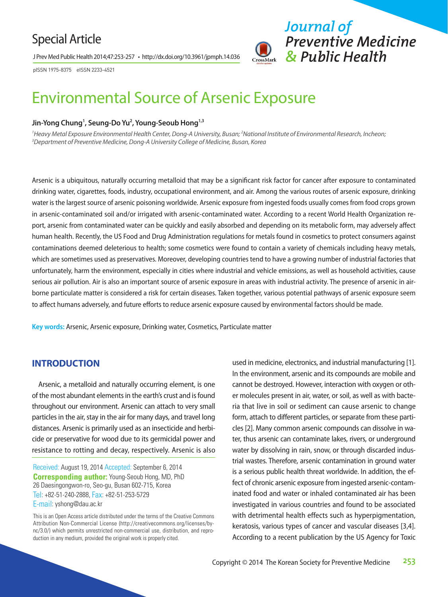## Special Article

J Prev Med Public Health 2014;47:253-257 • http://dx.doi.org/10.3961/jpmph.14.036



pISSN 1975-8375 eISSN 2233-4521

# Environmental Source of Arsenic Exposure

### **Jin-Yong Chung1 , Seung-Do Yu2 , Young-Seoub Hong1,3**

<sup>1</sup> Heavy Metal Exposure Environmental Health Center, Dong-A University, Busan; <sup>2</sup>National Institute of Environmental Research, Incheon;<br><sup>3</sup>Denartment of Preventive Medicine, Dong-A University College of Medicine, Busan, *Department of Preventive Medicine, Dong-A University College of Medicine, Busan, Korea* 

Arsenic is a ubiquitous, naturally occurring metalloid that may be a significant risk factor for cancer after exposure to contaminated drinking water, cigarettes, foods, industry, occupational environment, and air. Among the various routes of arsenic exposure, drinking water is the largest source of arsenic poisoning worldwide. Arsenic exposure from ingested foods usually comes from food crops grown in arsenic-contaminated soil and/or irrigated with arsenic-contaminated water. According to a recent World Health Organization report, arsenic from contaminated water can be quickly and easily absorbed and depending on its metabolic form, may adversely affect human health. Recently, the US Food and Drug Administration regulations for metals found in cosmetics to protect consumers against contaminations deemed deleterious to health; some cosmetics were found to contain a variety of chemicals including heavy metals, which are sometimes used as preservatives. Moreover, developing countries tend to have a growing number of industrial factories that unfortunately, harm the environment, especially in cities where industrial and vehicle emissions, as well as household activities, cause serious air pollution. Air is also an important source of arsenic exposure in areas with industrial activity. The presence of arsenic in airborne particulate matter is considered a risk for certain diseases. Taken together, various potential pathways of arsenic exposure seem to affect humans adversely, and future efforts to reduce arsenic exposure caused by environmental factors should be made.

**Key words:** Arsenic, Arsenic exposure, Drinking water, Cosmetics, Particulate matter

## **INTRODUCTION**

Arsenic, a metalloid and naturally occurring element, is one of the most abundant elements in the earth's crust and is found throughout our environment. Arsenic can attach to very small particles in the air, stay in the air for many days, and travel long distances. Arsenic is primarily used as an insecticide and herbicide or preservative for wood due to its germicidal power and resistance to rotting and decay, respectively. Arsenic is also

Received: August 19, 2014 Accepted: September 6, 2014 **Corresponding author:** Young-Seoub Hong, MD, PhD 26 Daesingongwon-ro, Seo-gu, Busan 602-715, Korea Tel: +82-51-240-2888, Fax: +82-51-253-5729 E-mail: yshong@dau.ac.kr

This is an Open Access article distributed under the terms of the Creative Commons Attribution Non-Commercial License (http://creativecommons.org/licenses/bync/3.0/) which permits unrestricted non-commercial use, distribution, and reproduction in any medium, provided the original work is properly cited.

used in medicine, electronics, and industrial manufacturing [1]. In the environment, arsenic and its compounds are mobile and cannot be destroyed. However, interaction with oxygen or other molecules present in air, water, or soil, as well as with bacteria that live in soil or sediment can cause arsenic to change form, attach to different particles, or separate from these particles [2]. Many common arsenic compounds can dissolve in water, thus arsenic can contaminate lakes, rivers, or underground water by dissolving in rain, snow, or through discarded industrial wastes. Therefore, arsenic contamination in ground water is a serious public health threat worldwide. In addition, the effect of chronic arsenic exposure from ingested arsenic-contaminated food and water or inhaled contaminated air has been investigated in various countries and found to be associated with detrimental health effects such as hyperpigmentation, keratosis, various types of cancer and vascular diseases [3,4]. According to a recent publication by the US Agency for Toxic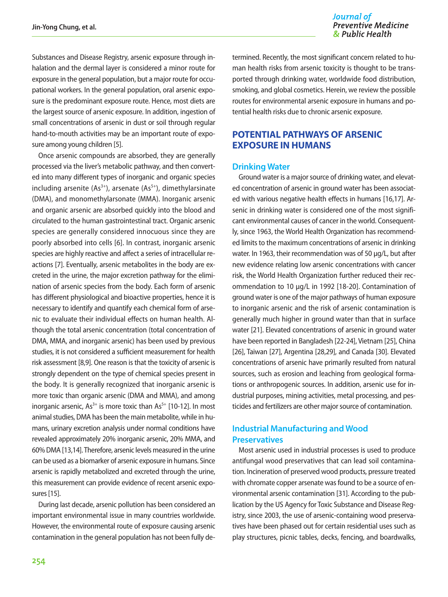Journal of **Preventive Medicine** & Public Health

Substances and Disease Registry, arsenic exposure through inhalation and the dermal layer is considered a minor route for exposure in the general population, but a major route for occupational workers. In the general population, oral arsenic exposure is the predominant exposure route. Hence, most diets are the largest source of arsenic exposure. In addition, ingestion of small concentrations of arsenic in dust or soil through regular hand-to-mouth activities may be an important route of exposure among young children [5].

Once arsenic compounds are absorbed, they are generally processed via the liver's metabolic pathway, and then converted into many different types of inorganic and organic species including arsenite  $(As^{3+})$ , arsenate  $(As^{5+})$ , dimethylarsinate (DMA), and monomethylarsonate (MMA). Inorganic arsenic and organic arsenic are absorbed quickly into the blood and circulated to the human gastrointestinal tract. Organic arsenic species are generally considered innocuous since they are poorly absorbed into cells [6]. In contrast, inorganic arsenic species are highly reactive and affect a series of intracellular reactions [7]. Eventually, arsenic metabolites in the body are excreted in the urine, the major excretion pathway for the elimination of arsenic species from the body. Each form of arsenic has different physiological and bioactive properties, hence it is necessary to identify and quantify each chemical form of arsenic to evaluate their individual effects on human health. Although the total arsenic concentration (total concentration of DMA, MMA, and inorganic arsenic) has been used by previous studies, it is not considered a sufficient measurement for health risk assessment [8,9]. One reason is that the toxicity of arsenic is strongly dependent on the type of chemical species present in the body. It is generally recognized that inorganic arsenic is more toxic than organic arsenic (DMA and MMA), and among inorganic arsenic,  $As^{3+}$  is more toxic than  $As^{5+}$  [10-12]. In most animal studies, DMA has been the main metabolite, while in humans, urinary excretion analysis under normal conditions have revealed approximately 20% inorganic arsenic, 20% MMA, and 60% DMA [13,14]. Therefore, arsenic levels measured in the urine can be used as a biomarker of arsenic exposure in humans. Since arsenic is rapidly metabolized and excreted through the urine, this measurement can provide evidence of recent arsenic exposures [15].

During last decade, arsenic pollution has been considered an important environmental issue in many countries worldwide. However, the environmental route of exposure causing arsenic contamination in the general population has not been fully de-

termined. Recently, the most significant concern related to human health risks from arsenic toxicity is thought to be transported through drinking water, worldwide food distribution, smoking, and global cosmetics. Herein, we review the possible routes for environmental arsenic exposure in humans and potential health risks due to chronic arsenic exposure.

## **POTENTIAL PATHWAYS OF ARSENIC EXPOSURE IN HUMANS**

#### **Drinking Water**

Ground water is a major source of drinking water, and elevated concentration of arsenic in ground water has been associated with various negative health effects in humans [16,17]. Arsenic in drinking water is considered one of the most significant environmental causes of cancer in the world. Consequently, since 1963, the World Health Organization has recommended limits to the maximum concentrations of arsenic in drinking water. In 1963, their recommendation was of 50 μg/L, but after new evidence relating low arsenic concentrations with cancer risk, the World Health Organization further reduced their recommendation to 10 μg/L in 1992 [18-20]. Contamination of ground water is one of the major pathways of human exposure to inorganic arsenic and the risk of arsenic contamination is generally much higher in ground water than that in surface water [21]. Elevated concentrations of arsenic in ground water have been reported in Bangladesh [22-24], Vietnam [25], China [26], Taiwan [27], Argentina [28,29], and Canada [30]. Elevated concentrations of arsenic have primarily resulted from natural sources, such as erosion and leaching from geological formations or anthropogenic sources. In addition, arsenic use for industrial purposes, mining activities, metal processing, and pesticides and fertilizers are other major source of contamination.

## **Industrial Manufacturing and Wood Preservatives**

Most arsenic used in industrial processes is used to produce antifungal wood preservatives that can lead soil contamination. Incineration of preserved wood products, pressure treated with chromate copper arsenate was found to be a source of environmental arsenic contamination [31]. According to the publication by the US Agency for Toxic Substance and Disease Registry, since 2003, the use of arsenic-containing wood preservatives have been phased out for certain residential uses such as play structures, picnic tables, decks, fencing, and boardwalks,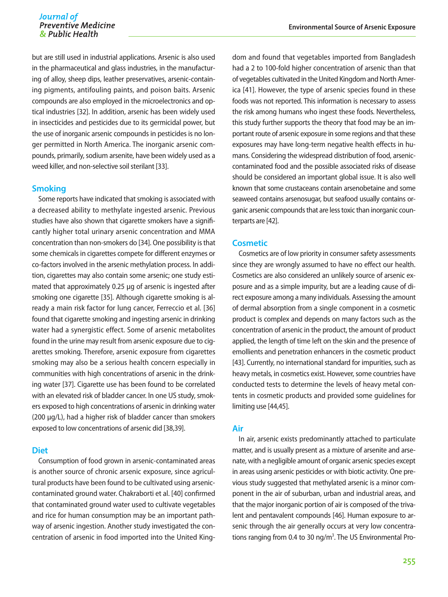but are still used in industrial applications. Arsenic is also used in the pharmaceutical and glass industries, in the manufacturing of alloy, sheep dips, leather preservatives, arsenic-containing pigments, antifouling paints, and poison baits. Arsenic compounds are also employed in the microelectronics and optical industries [32]. In addition, arsenic has been widely used in insecticides and pesticides due to its germicidal power, but the use of inorganic arsenic compounds in pesticides is no longer permitted in North America. The inorganic arsenic compounds, primarily, sodium arsenite, have been widely used as a weed killer, and non-selective soil sterilant [33].

#### **Smoking**

Some reports have indicated that smoking is associated with a decreased ability to methylate ingested arsenic. Previous studies have also shown that cigarette smokers have a significantly higher total urinary arsenic concentration and MMA concentration than non-smokers do [34]. One possibility is that some chemicals in cigarettes compete for different enzymes or co-factors involved in the arsenic methylation process. In addition, cigarettes may also contain some arsenic; one study estimated that approximately 0.25 μg of arsenic is ingested after smoking one cigarette [35]. Although cigarette smoking is already a main risk factor for lung cancer, Ferreccio et al. [36] found that cigarette smoking and ingesting arsenic in drinking water had a synergistic effect. Some of arsenic metabolites found in the urine may result from arsenic exposure due to cigarettes smoking. Therefore, arsenic exposure from cigarettes smoking may also be a serious health concern especially in communities with high concentrations of arsenic in the drinking water [37]. Cigarette use has been found to be correlated with an elevated risk of bladder cancer. In one US study, smokers exposed to high concentrations of arsenic in drinking water (200 μg/L), had a higher risk of bladder cancer than smokers exposed to low concentrations of arsenic did [38,39].

#### **Diet**

Consumption of food grown in arsenic-contaminated areas is another source of chronic arsenic exposure, since agricultural products have been found to be cultivated using arseniccontaminated ground water. Chakraborti et al. [40] confirmed that contaminated ground water used to cultivate vegetables and rice for human consumption may be an important pathway of arsenic ingestion. Another study investigated the concentration of arsenic in food imported into the United King-

dom and found that vegetables imported from Bangladesh had a 2 to 100-fold higher concentration of arsenic than that of vegetables cultivated in the United Kingdom and North America [41]. However, the type of arsenic species found in these foods was not reported. This information is necessary to assess the risk among humans who ingest these foods. Nevertheless, this study further supports the theory that food may be an important route of arsenic exposure in some regions and that these exposures may have long-term negative health effects in humans. Considering the widespread distribution of food, arseniccontaminated food and the possible associated risks of disease should be considered an important global issue. It is also well known that some crustaceans contain arsenobetaine and some seaweed contains arsenosugar, but seafood usually contains organic arsenic compounds that are less toxic than inorganic counterparts are [42].

#### **Cosmetic**

Cosmetics are of low priority in consumer safety assessments since they are wrongly assumed to have no effect our health. Cosmetics are also considered an unlikely source of arsenic exposure and as a simple impurity, but are a leading cause of direct exposure among a many individuals. Assessing the amount of dermal absorption from a single component in a cosmetic product is complex and depends on many factors such as the concentration of arsenic in the product, the amount of product applied, the length of time left on the skin and the presence of emollients and penetration enhancers in the cosmetic product [43]. Currently, no international standard for impurities, such as heavy metals, in cosmetics exist. However, some countries have conducted tests to determine the levels of heavy metal contents in cosmetic products and provided some guidelines for limiting use [44,45].

#### **Air**

In air, arsenic exists predominantly attached to particulate matter, and is usually present as a mixture of arsenite and arsenate, with a negligible amount of organic arsenic species except in areas using arsenic pesticides or with biotic activity. One previous study suggested that methylated arsenic is a minor component in the air of suburban, urban and industrial areas, and that the major inorganic portion of air is composed of the trivalent and pentavalent compounds [46]. Human exposure to arsenic through the air generally occurs at very low concentrations ranging from 0.4 to 30 ng/ $m<sup>3</sup>$ . The US Environmental Pro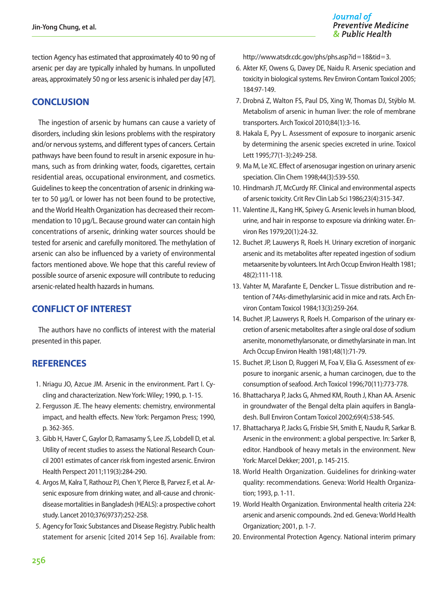tection Agency has estimated that approximately 40 to 90 ng of arsenic per day are typically inhaled by humans. In unpolluted areas, approximately 50 ng or less arsenic is inhaled per day [47].

## **CONCLUSION**

The ingestion of arsenic by humans can cause a variety of disorders, including skin lesions problems with the respiratory and/or nervous systems, and different types of cancers. Certain pathways have been found to result in arsenic exposure in humans, such as from drinking water, foods, cigarettes, certain residential areas, occupational environment, and cosmetics. Guidelines to keep the concentration of arsenic in drinking water to 50 μg/L or lower has not been found to be protective, and the World Health Organization has decreased their recommendation to 10 μg/L. Because ground water can contain high concentrations of arsenic, drinking water sources should be tested for arsenic and carefully monitored. The methylation of arsenic can also be influenced by a variety of environmental factors mentioned above. We hope that this careful review of possible source of arsenic exposure will contribute to reducing arsenic-related health hazards in humans.

## **CONFLICT OF INTEREST**

The authors have no conflicts of interest with the material presented in this paper.

## **REFERENCES**

- 1. Nriagu JO, Azcue JM. Arsenic in the environment. Part I. Cycling and characterization. New York: Wiley; 1990, p. 1-15.
- 2. Fergusson JE. The heavy elements: chemistry, environmental impact, and health effects. New York: Pergamon Press; 1990, p. 362-365.
- 3. Gibb H, Haver C, Gaylor D, Ramasamy S, Lee JS, Lobdell D, et al. Utility of recent studies to assess the National Research Council 2001 estimates of cancer risk from ingested arsenic. Environ Health Perspect 2011;119(3):284-290.
- 4. Argos M, Kalra T, Rathouz PJ, Chen Y, Pierce B, Parvez F, et al. Arsenic exposure from drinking water, and all-cause and chronicdisease mortalities in Bangladesh (HEALS): a prospective cohort study. Lancet 2010;376(9737):252-258.
- 5. Agency for Toxic Substances and Disease Registry. Public health statement for arsenic [cited 2014 Sep 16]. Available from:

http://www.atsdr.cdc.gov/phs/phs.asp?id=18&tid=3.

- 6. Akter KF, Owens G, Davey DE, Naidu R. Arsenic speciation and toxicity in biological systems. Rev Environ Contam Toxicol 2005; 184:97-149.
- 7. Drobná Z, Walton FS, Paul DS, Xing W, Thomas DJ, Stýblo M. Metabolism of arsenic in human liver: the role of membrane transporters. Arch Toxicol 2010;84(1):3-16.
- 8. Hakala E, Pyy L. Assessment of exposure to inorganic arsenic by determining the arsenic species excreted in urine. Toxicol Lett 1995;77(1-3):249-258.
- 9. Ma M, Le XC. Effect of arsenosugar ingestion on urinary arsenic speciation. Clin Chem 1998;44(3):539-550.
- 10. Hindmarsh JT, McCurdy RF. Clinical and environmental aspects of arsenic toxicity. Crit Rev Clin Lab Sci 1986;23(4):315-347.
- 11. Valentine JL, Kang HK, Spivey G. Arsenic levels in human blood, urine, and hair in response to exposure via drinking water. Environ Res 1979;20(1):24-32.
- 12. Buchet JP, Lauwerys R, Roels H. Urinary excretion of inorganic arsenic and its metabolites after repeated ingestion of sodium metaarsenite by volunteers. Int Arch Occup Environ Health 1981; 48(2):111-118.
- 13. Vahter M, Marafante E, Dencker L. Tissue distribution and retention of 74As-dimethylarsinic acid in mice and rats. Arch Environ Contam Toxicol 1984;13(3):259-264.
- 14. Buchet JP, Lauwerys R, Roels H. Comparison of the urinary excretion of arsenic metabolites after a single oral dose of sodium arsenite, monomethylarsonate, or dimethylarsinate in man. Int Arch Occup Environ Health 1981;48(1):71-79.
- 15. Buchet JP, Lison D, Ruggeri M, Foa V, Elia G. Assessment of exposure to inorganic arsenic, a human carcinogen, due to the consumption of seafood. Arch Toxicol 1996;70(11):773-778.
- 16. Bhattacharya P, Jacks G, Ahmed KM, Routh J, Khan AA. Arsenic in groundwater of the Bengal delta plain aquifers in Bangladesh. Bull Environ Contam Toxicol 2002;69(4):538-545.
- 17. Bhattacharya P, Jacks G, Frisbie SH, Smith E, Naudu R, Sarkar B. Arsenic in the environment: a global perspective. In: Sarker B, editor. Handbook of heavy metals in the environment. New York: Marcel Dekker; 2001, p. 145-215.
- 18. World Health Organization. Guidelines for drinking-water quality: recommendations. Geneva: World Health Organization; 1993, p. 1-11.
- 19. World Health Organization. Environmental health criteria 224: arsenic and arsenic compounds. 2nd ed. Geneva: World Health Organization; 2001, p. 1-7.
- 20. Environmental Protection Agency. National interim primary